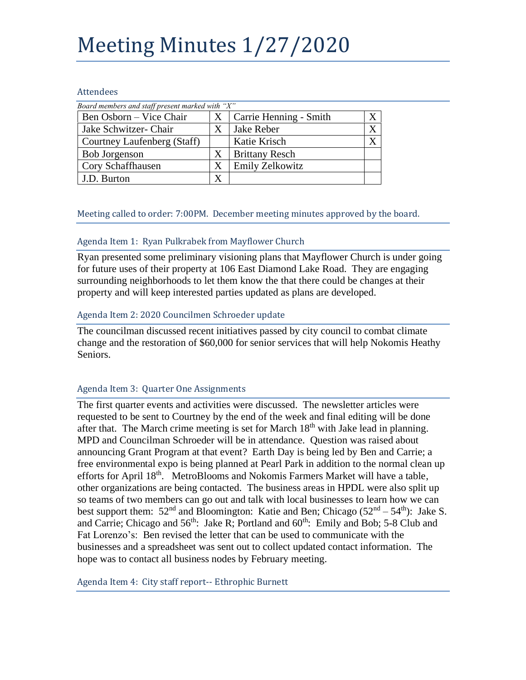# Meeting Minutes 1/27/2020

#### Attendees

| Board members and staff present marked with "X" |   |                        |  |
|-------------------------------------------------|---|------------------------|--|
| Ben Osborn – Vice Chair                         | X | Carrie Henning - Smith |  |
| Jake Schwitzer- Chair                           |   | Jake Reber             |  |
| Courtney Laufenberg (Staff)                     |   | Katie Krisch           |  |
| <b>Bob Jorgenson</b>                            | X | <b>Brittany Resch</b>  |  |
| Cory Schaffhausen                               |   | <b>Emily Zelkowitz</b> |  |
| J.D. Burton                                     |   |                        |  |

Meeting called to order: 7:00PM. December meeting minutes approved by the board.

## Agenda Item 1: Ryan Pulkrabek from Mayflower Church

Ryan presented some preliminary visioning plans that Mayflower Church is under going for future uses of their property at 106 East Diamond Lake Road. They are engaging surrounding neighborhoods to let them know the that there could be changes at their property and will keep interested parties updated as plans are developed.

## Agenda Item 2: 2020 Councilmen Schroeder update

The councilman discussed recent initiatives passed by city council to combat climate change and the restoration of \$60,000 for senior services that will help Nokomis Heathy Seniors.

## Agenda Item 3: Quarter One Assignments

The first quarter events and activities were discussed. The newsletter articles were requested to be sent to Courtney by the end of the week and final editing will be done after that. The March crime meeting is set for March  $18<sup>th</sup>$  with Jake lead in planning. MPD and Councilman Schroeder will be in attendance. Question was raised about announcing Grant Program at that event? Earth Day is being led by Ben and Carrie; a free environmental expo is being planned at Pearl Park in addition to the normal clean up efforts for April 18<sup>th</sup>. MetroBlooms and Nokomis Farmers Market will have a table, other organizations are being contacted. The business areas in HPDL were also split up so teams of two members can go out and talk with local businesses to learn how we can best support them:  $52<sup>nd</sup>$  and Bloomington: Katie and Ben; Chicago  $(52<sup>nd</sup> – 54<sup>th</sup>)$ : Jake S. and Carrie; Chicago and  $56<sup>th</sup>$ : Jake R; Portland and  $60<sup>th</sup>$ : Emily and Bob; 5-8 Club and Fat Lorenzo's: Ben revised the letter that can be used to communicate with the businesses and a spreadsheet was sent out to collect updated contact information. The hope was to contact all business nodes by February meeting.

Agenda Item 4: City staff report-- Ethrophic Burnett